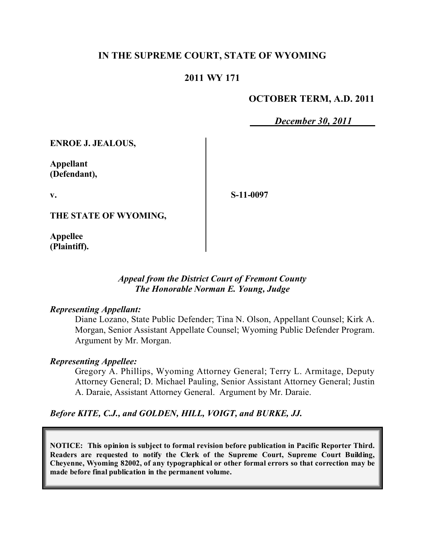## **IN THE SUPREME COURT, STATE OF WYOMING**

### **2011 WY 171**

### **OCTOBER TERM, A.D. 2011**

*December 30, 2011*

**ENROE J. JEALOUS,**

**Appellant (Defendant),**

**v.**

**S-11-0097**

**THE STATE OF WYOMING,**

**Appellee (Plaintiff).**

### *Appeal from the District Court of Fremont County The Honorable Norman E. Young, Judge*

#### *Representing Appellant:*

Diane Lozano, State Public Defender; Tina N. Olson, Appellant Counsel; Kirk A. Morgan, Senior Assistant Appellate Counsel; Wyoming Public Defender Program. Argument by Mr. Morgan.

#### *Representing Appellee:*

Gregory A. Phillips, Wyoming Attorney General; Terry L. Armitage, Deputy Attorney General; D. Michael Pauling, Senior Assistant Attorney General; Justin A. Daraie, Assistant Attorney General. Argument by Mr. Daraie.

*Before KITE, C.J., and GOLDEN, HILL, VOIGT, and BURKE, JJ.*

**NOTICE: This opinion is subject to formal revision before publication in Pacific Reporter Third. Readers are requested to notify the Clerk of the Supreme Court, Supreme Court Building, Cheyenne, Wyoming 82002, of any typographical or other formal errors so that correction may be made before final publication in the permanent volume.**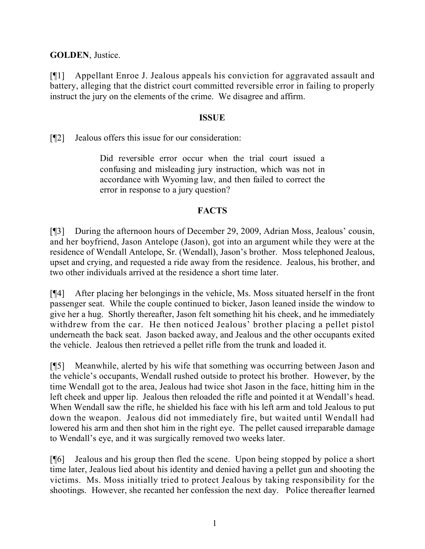**GOLDEN**, Justice.

[¶1] Appellant Enroe J. Jealous appeals his conviction for aggravated assault and battery, alleging that the district court committed reversible error in failing to properly instruct the jury on the elements of the crime. We disagree and affirm.

## **ISSUE**

[¶2] Jealous offers this issue for our consideration:

Did reversible error occur when the trial court issued a confusing and misleading jury instruction, which was not in accordance with Wyoming law, and then failed to correct the error in response to a jury question?

# **FACTS**

[¶3] During the afternoon hours of December 29, 2009, Adrian Moss, Jealous' cousin, and her boyfriend, Jason Antelope (Jason), got into an argument while they were at the residence of Wendall Antelope, Sr. (Wendall), Jason's brother. Moss telephoned Jealous, upset and crying, and requested a ride away from the residence. Jealous, his brother, and two other individuals arrived at the residence a short time later.

[¶4] After placing her belongings in the vehicle, Ms. Moss situated herself in the front passenger seat. While the couple continued to bicker, Jason leaned inside the window to give her a hug. Shortly thereafter, Jason felt something hit his cheek, and he immediately withdrew from the car. He then noticed Jealous' brother placing a pellet pistol underneath the back seat. Jason backed away, and Jealous and the other occupants exited the vehicle. Jealous then retrieved a pellet rifle from the trunk and loaded it.

[¶5] Meanwhile, alerted by his wife that something was occurring between Jason and the vehicle's occupants, Wendall rushed outside to protect his brother. However, by the time Wendall got to the area, Jealous had twice shot Jason in the face, hitting him in the left cheek and upper lip. Jealous then reloaded the rifle and pointed it at Wendall's head. When Wendall saw the rifle, he shielded his face with his left arm and told Jealous to put down the weapon. Jealous did not immediately fire, but waited until Wendall had lowered his arm and then shot him in the right eye. The pellet caused irreparable damage to Wendall's eye, and it was surgically removed two weeks later.

[¶6] Jealous and his group then fled the scene. Upon being stopped by police a short time later, Jealous lied about his identity and denied having a pellet gun and shooting the victims. Ms. Moss initially tried to protect Jealous by taking responsibility for the shootings. However, she recanted her confession the next day. Police thereafter learned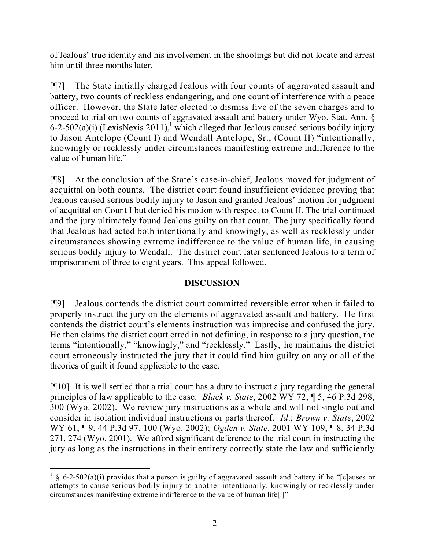of Jealous' true identity and his involvement in the shootings but did not locate and arrest him until three months later.

[¶7] The State initially charged Jealous with four counts of aggravated assault and battery, two counts of reckless endangering, and one count of interference with a peace officer. However, the State later elected to dismiss five of the seven charges and to proceed to trial on two counts of aggravated assault and battery under Wyo. Stat. Ann. §  $6$ -2-502(a)(i) (LexisNexis 2011),<sup>1</sup> which alleged that Jealous caused serious bodily injury to Jason Antelope (Count I) and Wendall Antelope, Sr., (Count II) "intentionally, knowingly or recklessly under circumstances manifesting extreme indifference to the value of human life."

[¶8] At the conclusion of the State's case-in-chief, Jealous moved for judgment of acquittal on both counts. The district court found insufficient evidence proving that Jealous caused serious bodily injury to Jason and granted Jealous' motion for judgment of acquittal on Count I but denied his motion with respect to Count II. The trial continued and the jury ultimately found Jealous guilty on that count. The jury specifically found that Jealous had acted both intentionally and knowingly, as well as recklessly under circumstances showing extreme indifference to the value of human life, in causing serious bodily injury to Wendall. The district court later sentenced Jealous to a term of imprisonment of three to eight years. This appeal followed.

# **DISCUSSION**

[¶9] Jealous contends the district court committed reversible error when it failed to properly instruct the jury on the elements of aggravated assault and battery. He first contends the district court's elements instruction was imprecise and confused the jury. He then claims the district court erred in not defining, in response to a jury question, the terms "intentionally," "knowingly," and "recklessly." Lastly, he maintains the district court erroneously instructed the jury that it could find him guilty on any or all of the theories of guilt it found applicable to the case.

[¶10] It is well settled that a trial court has a duty to instruct a jury regarding the general principles of law applicable to the case. *Black v. State*, 2002 WY 72, ¶ 5, 46 P.3d 298, 300 (Wyo. 2002). We review jury instructions as a whole and will not single out and consider in isolation individual instructions or parts thereof. *Id*.; *Brown v. State*, 2002 WY 61, ¶ 9, 44 P.3d 97, 100 (Wyo. 2002); *Ogden v. State*, 2001 WY 109, ¶ 8, 34 P.3d 271, 274 (Wyo. 2001). We afford significant deference to the trial court in instructing the jury as long as the instructions in their entirety correctly state the law and sufficiently

 <sup>1</sup> § 6-2-502(a)(i) provides that a person is guilty of aggravated assault and battery if he "[c]auses or attempts to cause serious bodily injury to another intentionally, knowingly or recklessly under circumstances manifesting extreme indifference to the value of human life[.]"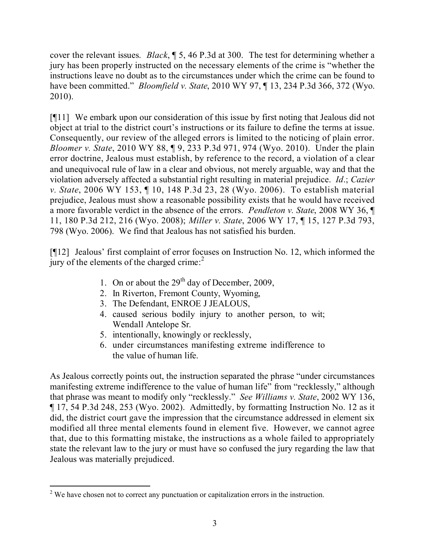cover the relevant issues. *Black*, ¶ 5, 46 P.3d at 300. The test for determining whether a jury has been properly instructed on the necessary elements of the crime is "whether the instructions leave no doubt as to the circumstances under which the crime can be found to have been committed." *Bloomfield v. State*, 2010 WY 97, ¶ 13, 234 P.3d 366, 372 (Wyo. 2010).

[¶11] We embark upon our consideration of this issue by first noting that Jealous did not object at trial to the district court's instructions or its failure to define the terms at issue. Consequently, our review of the alleged errors is limited to the noticing of plain error. *Bloomer v. State*, 2010 WY 88, ¶ 9, 233 P.3d 971, 974 (Wyo. 2010). Under the plain error doctrine, Jealous must establish, by reference to the record, a violation of a clear and unequivocal rule of law in a clear and obvious, not merely arguable, way and that the violation adversely affected a substantial right resulting in material prejudice. *Id*.; *Cazier v. State*, 2006 WY 153, ¶ 10, 148 P.3d 23, 28 (Wyo. 2006). To establish material prejudice, Jealous must show a reasonable possibility exists that he would have received a more favorable verdict in the absence of the errors. *Pendleton v. State*, 2008 WY 36, ¶ 11, 180 P.3d 212, 216 (Wyo. 2008); *Miller v. State*, 2006 WY 17, ¶ 15, 127 P.3d 793, 798 (Wyo. 2006). We find that Jealous has not satisfied his burden.

[¶12] Jealous' first complaint of error focuses on Instruction No. 12, which informed the jury of the elements of the charged crime:<sup>2</sup>

- 1. On or about the  $29<sup>th</sup>$  day of December, 2009,
- 2. In Riverton, Fremont County, Wyoming,
- 3. The Defendant, ENROE J JEALOUS,
- 4. caused serious bodily injury to another person, to wit; Wendall Antelope Sr.
- 5. intentionally, knowingly or recklessly,
- 6. under circumstances manifesting extreme indifference to the value of human life.

As Jealous correctly points out, the instruction separated the phrase "under circumstances manifesting extreme indifference to the value of human life" from "recklessly," although that phrase was meant to modify only "recklessly." *See Williams v. State*, 2002 WY 136, ¶ 17, 54 P.3d 248, 253 (Wyo. 2002). Admittedly, by formatting Instruction No. 12 as it did, the district court gave the impression that the circumstance addressed in element six modified all three mental elements found in element five. However, we cannot agree that, due to this formatting mistake, the instructions as a whole failed to appropriately state the relevant law to the jury or must have so confused the jury regarding the law that Jealous was materially prejudiced.

 <sup>2</sup> We have chosen not to correct any punctuation or capitalization errors in the instruction.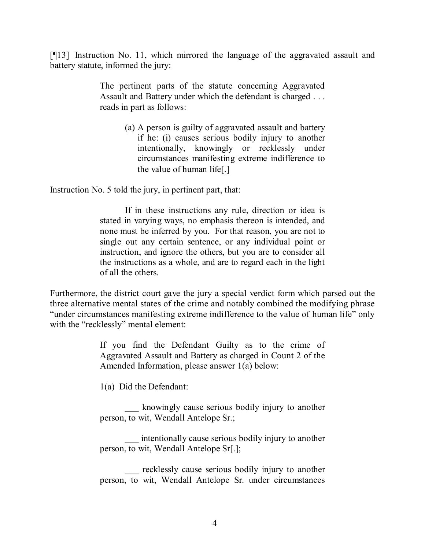[¶13] Instruction No. 11, which mirrored the language of the aggravated assault and battery statute, informed the jury:

> The pertinent parts of the statute concerning Aggravated Assault and Battery under which the defendant is charged . . . reads in part as follows:

> > (a) A person is guilty of aggravated assault and battery if he: (i) causes serious bodily injury to another intentionally, knowingly or recklessly under circumstances manifesting extreme indifference to the value of human life[.]

Instruction No. 5 told the jury, in pertinent part, that:

If in these instructions any rule, direction or idea is stated in varying ways, no emphasis thereon is intended, and none must be inferred by you. For that reason, you are not to single out any certain sentence, or any individual point or instruction, and ignore the others, but you are to consider all the instructions as a whole, and are to regard each in the light of all the others.

Furthermore, the district court gave the jury a special verdict form which parsed out the three alternative mental states of the crime and notably combined the modifying phrase "under circumstances manifesting extreme indifference to the value of human life" only with the "recklessly" mental element:

> If you find the Defendant Guilty as to the crime of Aggravated Assault and Battery as charged in Count 2 of the Amended Information, please answer 1(a) below:

1(a) Did the Defendant:

\_\_\_ knowingly cause serious bodily injury to another person, to wit, Wendall Antelope Sr.;

intentionally cause serious bodily injury to another person, to wit, Wendall Antelope Sr[.];

\_\_\_ recklessly cause serious bodily injury to another person, to wit, Wendall Antelope Sr. under circumstances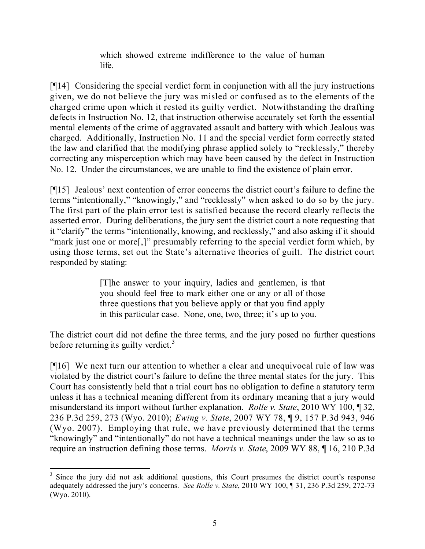which showed extreme indifference to the value of human life.

[¶14] Considering the special verdict form in conjunction with all the jury instructions given, we do not believe the jury was misled or confused as to the elements of the charged crime upon which it rested its guilty verdict. Notwithstanding the drafting defects in Instruction No. 12, that instruction otherwise accurately set forth the essential mental elements of the crime of aggravated assault and battery with which Jealous was charged. Additionally, Instruction No. 11 and the special verdict form correctly stated the law and clarified that the modifying phrase applied solely to "recklessly," thereby correcting any misperception which may have been caused by the defect in Instruction No. 12. Under the circumstances, we are unable to find the existence of plain error.

[¶15] Jealous' next contention of error concerns the district court's failure to define the terms "intentionally," "knowingly," and "recklessly" when asked to do so by the jury. The first part of the plain error test is satisfied because the record clearly reflects the asserted error. During deliberations, the jury sent the district court a note requesting that it "clarify" the terms "intentionally, knowing, and recklessly," and also asking if it should "mark just one or more[,]" presumably referring to the special verdict form which, by using those terms, set out the State's alternative theories of guilt. The district court responded by stating:

> [T]he answer to your inquiry, ladies and gentlemen, is that you should feel free to mark either one or any or all of those three questions that you believe apply or that you find apply in this particular case. None, one, two, three; it's up to you.

The district court did not define the three terms, and the jury posed no further questions before returning its guilty verdict. $3$ 

[¶16] We next turn our attention to whether a clear and unequivocal rule of law was violated by the district court's failure to define the three mental states for the jury. This Court has consistently held that a trial court has no obligation to define a statutory term unless it has a technical meaning different from its ordinary meaning that a jury would misunderstand its import without further explanation. *Rolle v. State*, 2010 WY 100, ¶ 32, 236 P.3d 259, 273 (Wyo. 2010); *Ewing v. State*, 2007 WY 78, ¶ 9, 157 P.3d 943, 946 (Wyo. 2007). Employing that rule, we have previously determined that the terms "knowingly" and "intentionally" do not have a technical meanings under the law so as to require an instruction defining those terms. *Morris v. State*, 2009 WY 88, ¶ 16, 210 P.3d

 <sup>3</sup> Since the jury did not ask additional questions, this Court presumes the district court's response adequately addressed the jury's concerns. *See Rolle v. State*, 2010 WY 100, ¶ 31, 236 P.3d 259, 272-73 (Wyo. 2010).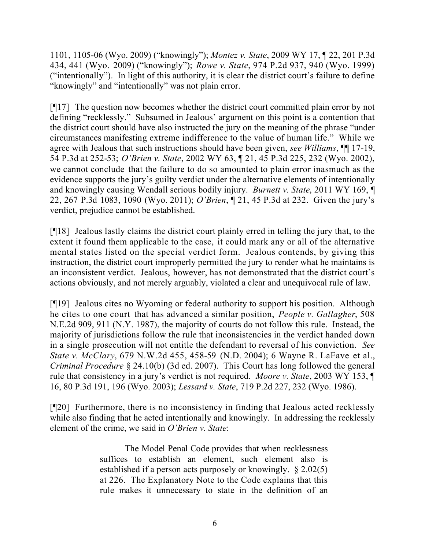1101, 1105-06 (Wyo. 2009) ("knowingly"); *Montez v. State*, 2009 WY 17, ¶ 22, 201 P.3d 434, 441 (Wyo. 2009) ("knowingly"); *Rowe v. State*, 974 P.2d 937, 940 (Wyo. 1999) ("intentionally"). In light of this authority, it is clear the district court's failure to define "knowingly" and "intentionally" was not plain error.

[¶17] The question now becomes whether the district court committed plain error by not defining "recklessly." Subsumed in Jealous' argument on this point is a contention that the district court should have also instructed the jury on the meaning of the phrase "under circumstances manifesting extreme indifference to the value of human life." While we agree with Jealous that such instructions should have been given, *see Williams*, ¶¶ 17-19, 54 P.3d at 252-53; *O'Brien v. State*, 2002 WY 63, ¶ 21, 45 P.3d 225, 232 (Wyo. 2002), we cannot conclude that the failure to do so amounted to plain error inasmuch as the evidence supports the jury's guilty verdict under the alternative elements of intentionally and knowingly causing Wendall serious bodily injury. *Burnett v. State*, 2011 WY 169, ¶ 22, 267 P.3d 1083, 1090 (Wyo. 2011); *O'Brien*, ¶ 21, 45 P.3d at 232. Given the jury's verdict, prejudice cannot be established.

[¶18] Jealous lastly claims the district court plainly erred in telling the jury that, to the extent it found them applicable to the case, it could mark any or all of the alternative mental states listed on the special verdict form. Jealous contends, by giving this instruction, the district court improperly permitted the jury to render what he maintains is an inconsistent verdict. Jealous, however, has not demonstrated that the district court's actions obviously, and not merely arguably, violated a clear and unequivocal rule of law.

[¶19] Jealous cites no Wyoming or federal authority to support his position. Although he cites to one court that has advanced a similar position, *People v. Gallagher*, 508 N.E.2d 909, 911 (N.Y. 1987), the majority of courts do not follow this rule. Instead, the majority of jurisdictions follow the rule that inconsistencies in the verdict handed down in a single prosecution will not entitle the defendant to reversal of his conviction. *See State v. McClary*, 679 N.W.2d 455, 458-59 (N.D. 2004); 6 Wayne R. LaFave et al., *Criminal Procedure* § 24.10(b) (3d ed. 2007). This Court has long followed the general rule that consistency in a jury's verdict is not required. *Moore v. State*, 2003 WY 153, ¶ 16, 80 P.3d 191, 196 (Wyo. 2003); *Lessard v. State*, 719 P.2d 227, 232 (Wyo. 1986).

[¶20] Furthermore, there is no inconsistency in finding that Jealous acted recklessly while also finding that he acted intentionally and knowingly. In addressing the recklessly element of the crime, we said in *O'Brien v. State*:

> The Model Penal Code provides that when recklessness suffices to establish an element, such element also is established if a person acts purposely or knowingly. § 2.02(5) at 226. The Explanatory Note to the Code explains that this rule makes it unnecessary to state in the definition of an